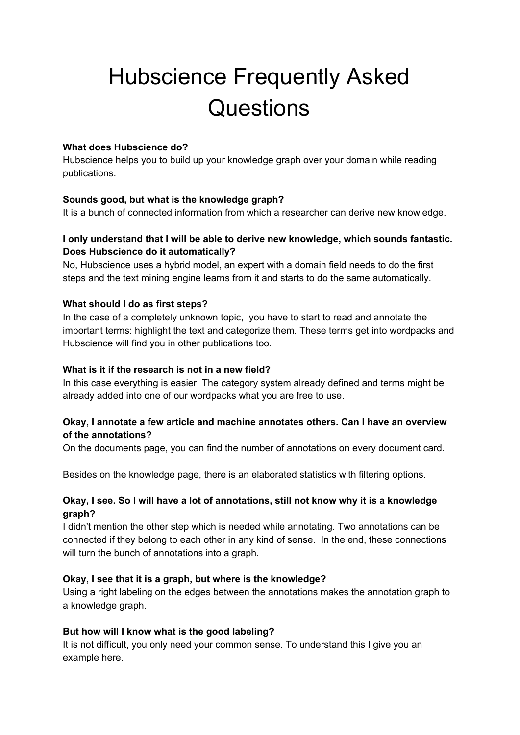# Hubscience Frequently Asked **Questions**

#### **What does Hubscience do?**

Hubscience helps you to build up your knowledge graph over your domain while reading publications.

## **Sounds good, but what is the knowledge graph?**

It is a bunch of connected information from which a researcher can derive new knowledge.

## **I only understand that I will be able to derive new knowledge, which sounds fantastic. Does Hubscience do it automatically?**

No, Hubscience uses a hybrid model, an expert with a domain field needs to do the first steps and the text mining engine learns from it and starts to do the same automatically.

## **What should I do as first steps?**

In the case of a completely unknown topic, you have to start to read and annotate the important terms: highlight the text and categorize them. These terms get into wordpacks and Hubscience will find you in other publications too.

#### **What is it if the research is not in a new field?**

In this case everything is easier. The category system already defined and terms might be already added into one of our wordpacks what you are free to use.

## **Okay, I annotate a few article and machine annotates others. Can I have an overview of the annotations?**

On the documents page, you can find the number of annotations on every document card.

Besides on the knowledge page, there is an elaborated statistics with filtering options.

## **Okay, I see. So I will have a lot of annotations, still not know why it is a knowledge graph?**

I didn't mention the other step which is needed while annotating. Two annotations can be connected if they belong to each other in any kind of sense. In the end, these connections will turn the bunch of annotations into a graph.

## **Okay, I see that it is a graph, but where is the knowledge?**

Using a right labeling on the edges between the annotations makes the annotation graph to a knowledge graph.

## **But how will I know what is the good labeling?**

It is not difficult, you only need your common sense. To understand this I give you an example here.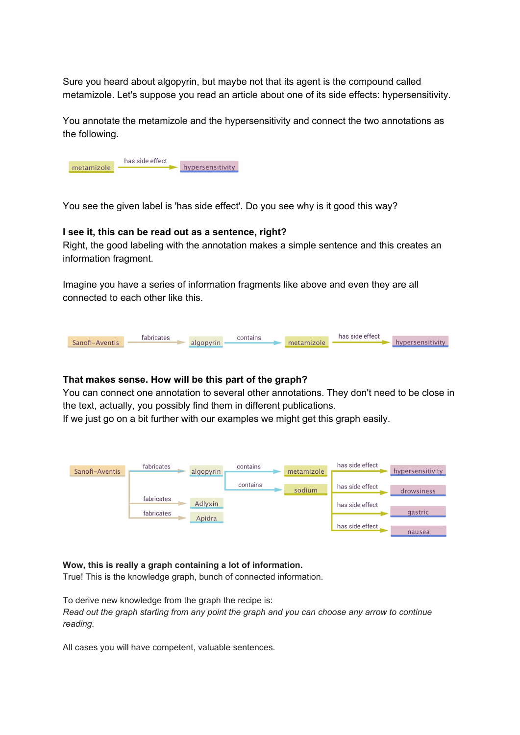Sure you heard about algopyrin, but maybe not that its agent is the compound called metamizole. Let's suppose you read an article about one of its side effects: hypersensitivity.

You annotate the metamizole and the hypersensitivity and connect the two annotations as the following.



You see the given label is 'has side effect'. Do you see why is it good this way?

#### **I see it, this can be read out as a sentence, right?**

Right, the good labeling with the annotation makes a simple sentence and this creates an information fragment.

Imagine you have a series of information fragments like above and even they are all connected to each other like this.



#### **That makes sense. How will be this part of the graph?**

You can connect one annotation to several other annotations. They don't need to be close in the text, actually, you possibly find them in different publications.

If we just go on a bit further with our examples we might get this graph easily.



#### **Wow, this is really a graph containing a lot of information.**

True! This is the knowledge graph, bunch of connected information.

To derive new knowledge from the graph the recipe is: *Read out the graph starting from any point the graph and you can choose any arrow to continue reading.*

All cases you will have competent, valuable sentences.